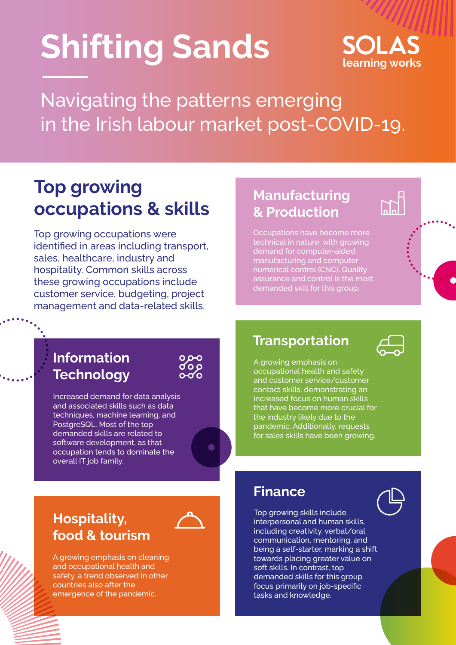# **Shifting Sands**

## SOI AS **learning works**

Navigating the patterns emerging in the Irish labour market post-COVID-19.

## **Top growing occupations & skills**

Top growing occupations were identified in areas including transport, sales, healthcare, industry and hospitality. Common skills across these growing occupations include customer service, budgeting, project management and data-related skills.

#### **Manufacturing & Production**

Occupations have become more technical in nature, with growing demand for computer-aided manufacturing and computer numerical control (CNC). Quality assurance and control is the most demanded skill for this group.

#### **Information Technology**

Increased demand for data analysis and associated skills such as data techniques, machine learning, and PostgreSQL. Most of the top demanded skills are related to software development, as that occupation tends to dominate the overall IT job family.

#### **Transportation**



A growing emphasis on occupational health and safety and customer service/customer contact skills, demonstrating an increased focus on human skills that have become more crucial for the industry likely due to the pandemic. Additionally, requests for sales skills have been growing.

#### **Hospitality, food & tourism**

A growing emphasis on cleaning and occupational health and safety, a trend observed in other countries also after the emergence of the pandemic.

#### **Finance**

Top growing skills include interpersonal and human skills, including creativity, verbal/oral communication, mentoring, and being a self-starter, marking a shift towards placing greater value on soft skills. In contrast, top demanded skills for this group focus primarily on job-specific tasks and knowledge.